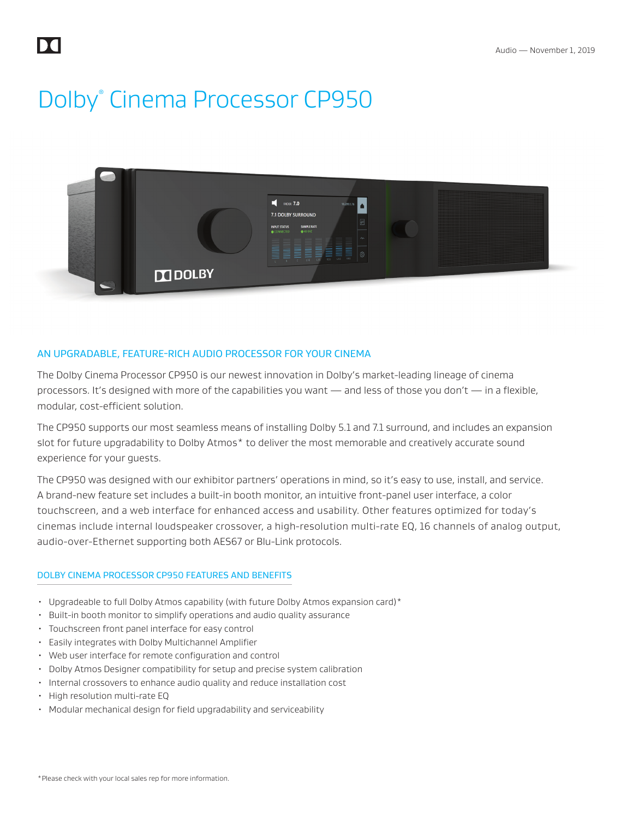DA

# Dolby<sup>®</sup> Cinema Processor CP950



### AN UPGRADABLE, FEATURE-RICH AUDIO PROCESSOR FOR YOUR CINEMA

The Dolby Cinema Processor CP950 is our newest innovation in Dolby's market-leading lineage of cinema processors. It's designed with more of the capabilities you want — and less of those you don't — in a flexible, modular, cost-efficient solution.

The CP950 supports our most seamless means of installing Dolby 5.1 and 7.1 surround, and includes an expansion slot for future upgradability to Dolby Atmos\* to deliver the most memorable and creatively accurate sound experience for your guests.

The CP950 was designed with our exhibitor partners' operations in mind, so it's easy to use, install, and service. A brand-new feature set includes a built-in booth monitor, an intuitive front-panel user interface, a color touchscreen, and a web interface for enhanced access and usability. Other features optimized for today's cinemas include internal loudspeaker crossover, a high-resolution multi-rate EQ, 16 channels of analog output, audio-over-Ethernet supporting both AES67 or Blu-Link protocols.

#### DOLBY CINEMA PROCESSOR CP950 FEATURES AND BENEFITS

- Upgradeable to full Dolby Atmos capability (with future Dolby Atmos expansion card)\*
- Built-in booth monitor to simplify operations and audio quality assurance
- Touchscreen front panel interface for easy control
- Easily integrates with Dolby Multichannel Amplifier
- Web user interface for remote configuration and control
- Dolby Atmos Designer compatibility for setup and precise system calibration
- Internal crossovers to enhance audio quality and reduce installation cost
- High resolution multi-rate EQ
- Modular mechanical design for field upgradability and serviceability